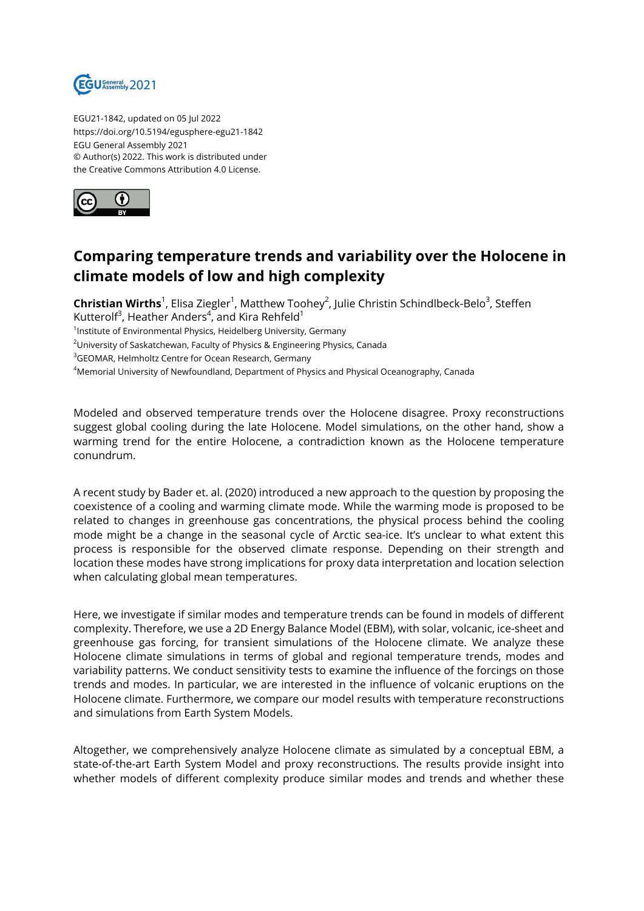

EGU21-1842, updated on 05 Jul 2022 https://doi.org/10.5194/egusphere-egu21-1842 EGU General Assembly 2021 © Author(s) 2022. This work is distributed under the Creative Commons Attribution 4.0 License.



## **Comparing temperature trends and variability over the Holocene in climate models of low and high complexity**

**Christian Wirths**<sup>1</sup>, Elisa Ziegler<sup>1</sup>, Matthew Toohey<sup>2</sup>, Julie Christin Schindlbeck-Belo<sup>3</sup>, Steffen Kutterolf $^3$ , Heather Anders $^4$ , and Kira Rehfeld $^1$ 

<sup>1</sup>Institute of Environmental Physics, Heidelberg University, Germany

<sup>2</sup>University of Saskatchewan, Faculty of Physics & Engineering Physics, Canada

<sup>3</sup>GEOMAR, Helmholtz Centre for Ocean Research, Germany

<sup>4</sup>Memorial University of Newfoundland, Department of Physics and Physical Oceanography, Canada

Modeled and observed temperature trends over the Holocene disagree. Proxy reconstructions suggest global cooling during the late Holocene. Model simulations, on the other hand, show a warming trend for the entire Holocene, a contradiction known as the Holocene temperature conundrum.

A recent study by Bader et. al. (2020) introduced a new approach to the question by proposing the coexistence of a cooling and warming climate mode. While the warming mode is proposed to be related to changes in greenhouse gas concentrations, the physical process behind the cooling mode might be a change in the seasonal cycle of Arctic sea-ice. It's unclear to what extent this process is responsible for the observed climate response. Depending on their strength and location these modes have strong implications for proxy data interpretation and location selection when calculating global mean temperatures.

Here, we investigate if similar modes and temperature trends can be found in models of different complexity. Therefore, we use a 2D Energy Balance Model (EBM), with solar, volcanic, ice-sheet and greenhouse gas forcing, for transient simulations of the Holocene climate. We analyze these Holocene climate simulations in terms of global and regional temperature trends, modes and variability patterns. We conduct sensitivity tests to examine the influence of the forcings on those trends and modes. In particular, we are interested in the influence of volcanic eruptions on the Holocene climate. Furthermore, we compare our model results with temperature reconstructions and simulations from Earth System Models.

Altogether, we comprehensively analyze Holocene climate as simulated by a conceptual EBM, a state-of-the-art Earth System Model and proxy reconstructions. The results provide insight into whether models of different complexity produce similar modes and trends and whether these